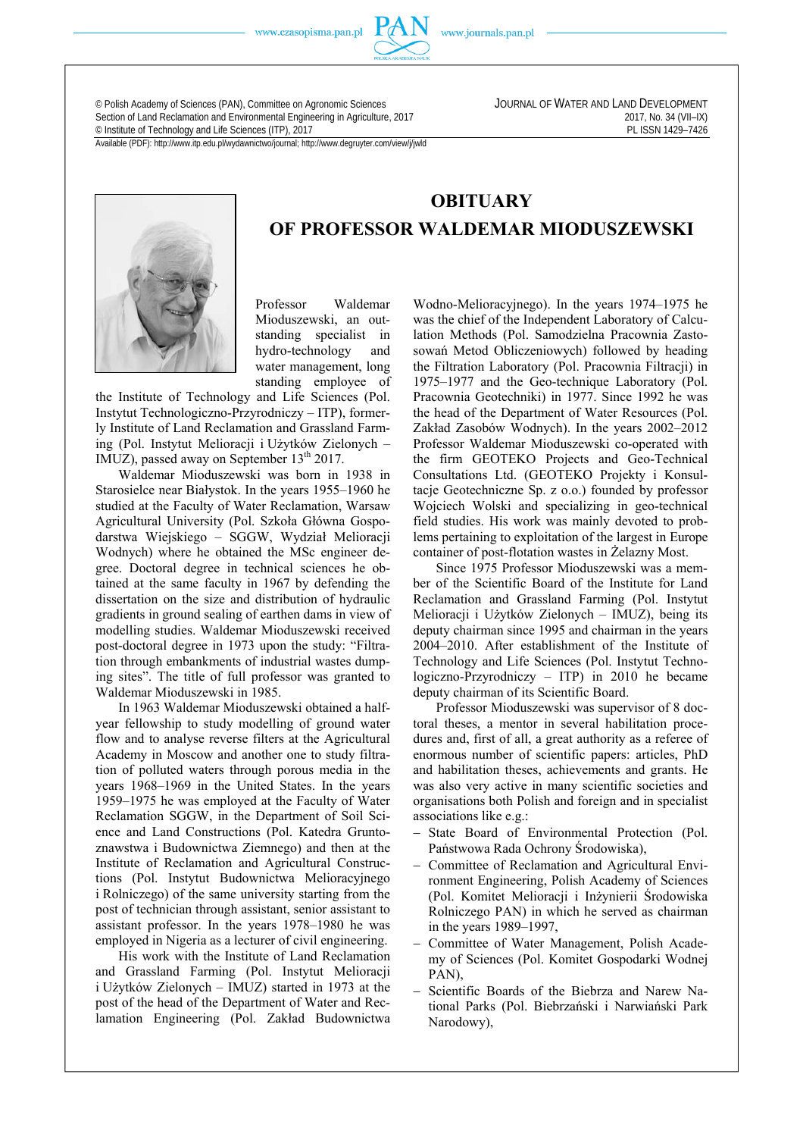www.czasopisma.pan.pl



www.journals.pan.pl

**OBITUARY** 

**OF PROFESSOR WALDEMAR MIODUSZEWSKI** 

© Polish Academy of Sciences (PAN), Committee on Agronomic Sciences JOURNAL OF WATER AND LAND DEVELOPMENT Section of Land Reclamation and Environmental Engineering in Agriculture, 2017<br>
© Institute of Technology and Life Sciences (ITP), 2017<br>
PL ISSN 1429-7426 <sup>©</sup> Institute of Technology and Life Sciences (ITP), 2017

Available (PDF): http://www.itp.edu.pl/wydawnictwo/journal; http://www.degruyter.com/view/j/jwld



Professor Waldemar Mioduszewski, an outstanding specialist in hydro-technology and water management, long standing employee of

the Institute of Technology and Life Sciences (Pol. Instytut Technologiczno-Przyrodniczy – ITP), formerly Institute of Land Reclamation and Grassland Farming (Pol. Instytut Melioracji i Użytków Zielonych – IMUZ), passed away on September 13<sup>th</sup> 2017.

Waldemar Mioduszewski was born in 1938 in Starosielce near Białystok. In the years 1955–1960 he studied at the Faculty of Water Reclamation, Warsaw Agricultural University (Pol. Szkoła Główna Gospodarstwa Wiejskiego – SGGW, Wydział Melioracji Wodnych) where he obtained the MSc engineer degree. Doctoral degree in technical sciences he obtained at the same faculty in 1967 by defending the dissertation on the size and distribution of hydraulic gradients in ground sealing of earthen dams in view of modelling studies. Waldemar Mioduszewski received post-doctoral degree in 1973 upon the study: "Filtration through embankments of industrial wastes dumping sites". The title of full professor was granted to Waldemar Mioduszewski in 1985.

In 1963 Waldemar Mioduszewski obtained a halfyear fellowship to study modelling of ground water flow and to analyse reverse filters at the Agricultural Academy in Moscow and another one to study filtration of polluted waters through porous media in the years 1968–1969 in the United States. In the years 1959–1975 he was employed at the Faculty of Water Reclamation SGGW, in the Department of Soil Science and Land Constructions (Pol. Katedra Gruntoznawstwa i Budownictwa Ziemnego) and then at the Institute of Reclamation and Agricultural Constructions (Pol. Instytut Budownictwa Melioracyjnego i Rolniczego) of the same university starting from the post of technician through assistant, senior assistant to assistant professor. In the years 1978–1980 he was employed in Nigeria as a lecturer of civil engineering.

His work with the Institute of Land Reclamation and Grassland Farming (Pol. Instytut Melioracji i Użytków Zielonych – IMUZ) started in 1973 at the post of the head of the Department of Water and Reclamation Engineering (Pol. Zakład Budownictwa Wodno-Melioracyjnego). In the years 1974–1975 he was the chief of the Independent Laboratory of Calculation Methods (Pol. Samodzielna Pracownia Zastosowań Metod Obliczeniowych) followed by heading the Filtration Laboratory (Pol. Pracownia Filtracji) in 1975–1977 and the Geo-technique Laboratory (Pol. Pracownia Geotechniki) in 1977. Since 1992 he was the head of the Department of Water Resources (Pol. Zakład Zasobów Wodnych). In the years 2002–2012 Professor Waldemar Mioduszewski co-operated with the firm GEOTEKO Projects and Geo-Technical Consultations Ltd. (GEOTEKO Projekty i Konsultacje Geotechniczne Sp. z o.o.) founded by professor Wojciech Wolski and specializing in geo-technical field studies. His work was mainly devoted to problems pertaining to exploitation of the largest in Europe container of post-flotation wastes in Żelazny Most.

Since 1975 Professor Mioduszewski was a member of the Scientific Board of the Institute for Land Reclamation and Grassland Farming (Pol. Instytut Melioracji i Użytków Zielonych – IMUZ), being its deputy chairman since 1995 and chairman in the years 2004–2010. After establishment of the Institute of Technology and Life Sciences (Pol. Instytut Technologiczno-Przyrodniczy – ITP) in 2010 he became deputy chairman of its Scientific Board.

Professor Mioduszewski was supervisor of 8 doctoral theses, a mentor in several habilitation procedures and, first of all, a great authority as a referee of enormous number of scientific papers: articles, PhD and habilitation theses, achievements and grants. He was also very active in many scientific societies and organisations both Polish and foreign and in specialist associations like e.g.:

- State Board of Environmental Protection (Pol. Państwowa Rada Ochrony Środowiska),
- Committee of Reclamation and Agricultural Environment Engineering, Polish Academy of Sciences (Pol. Komitet Melioracji i Inżynierii Środowiska Rolniczego PAN) in which he served as chairman in the years 1989–1997,
- Committee of Water Management, Polish Academy of Sciences (Pol. Komitet Gospodarki Wodnej PAN),
- Scientific Boards of the Biebrza and Narew National Parks (Pol. Biebrzański i Narwiański Park Narodowy),